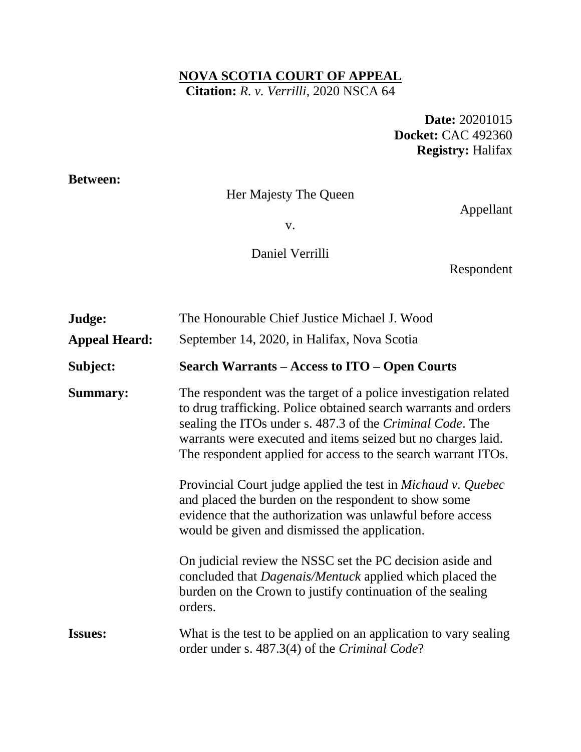### **NOVA SCOTIA COURT OF APPEAL Citation:** *R. v. Verrilli*, 2020 NSCA 64

**Date:** 20201015 **Docket:** CAC 492360 **Registry:** Halifax

### **Between:**

# Her Majesty The Queen

Appellant

v.

Daniel Verrilli

Respondent

| Judge:<br><b>Appeal Heard:</b> | The Honourable Chief Justice Michael J. Wood<br>September 14, 2020, in Halifax, Nova Scotia                                                                                                                                                                                                                                                                                                                                                                                                                                                                                            |
|--------------------------------|----------------------------------------------------------------------------------------------------------------------------------------------------------------------------------------------------------------------------------------------------------------------------------------------------------------------------------------------------------------------------------------------------------------------------------------------------------------------------------------------------------------------------------------------------------------------------------------|
| Subject:                       | Search Warrants – Access to ITO – Open Courts                                                                                                                                                                                                                                                                                                                                                                                                                                                                                                                                          |
| <b>Summary:</b>                | The respondent was the target of a police investigation related<br>to drug trafficking. Police obtained search warrants and orders<br>sealing the ITOs under s. 487.3 of the <i>Criminal Code</i> . The<br>warrants were executed and items seized but no charges laid.<br>The respondent applied for access to the search warrant ITOs.<br>Provincial Court judge applied the test in <i>Michaud v. Quebec</i><br>and placed the burden on the respondent to show some<br>evidence that the authorization was unlawful before access<br>would be given and dismissed the application. |
|                                | On judicial review the NSSC set the PC decision aside and<br>concluded that <i>Dagenais/Mentuck</i> applied which placed the<br>burden on the Crown to justify continuation of the sealing<br>orders.                                                                                                                                                                                                                                                                                                                                                                                  |
| <b>Issues:</b>                 | What is the test to be applied on an application to vary sealing<br>order under s. 487.3(4) of the Criminal Code?                                                                                                                                                                                                                                                                                                                                                                                                                                                                      |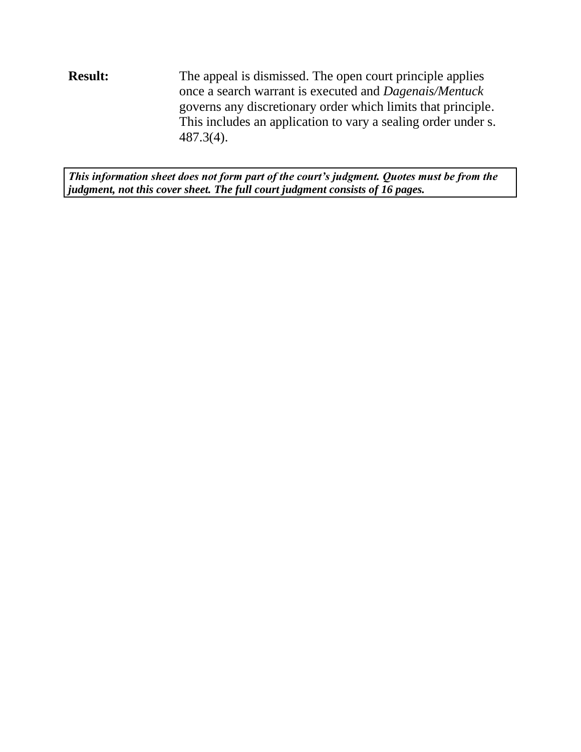**Result:** The appeal is dismissed. The open court principle applies once a search warrant is executed and *Dagenais/Mentuck* governs any discretionary order which limits that principle. This includes an application to vary a sealing order under s. 487.3(4).

*This information sheet does not form part of the court's judgment. Quotes must be from the judgment, not this cover sheet. The full court judgment consists of 16 pages.*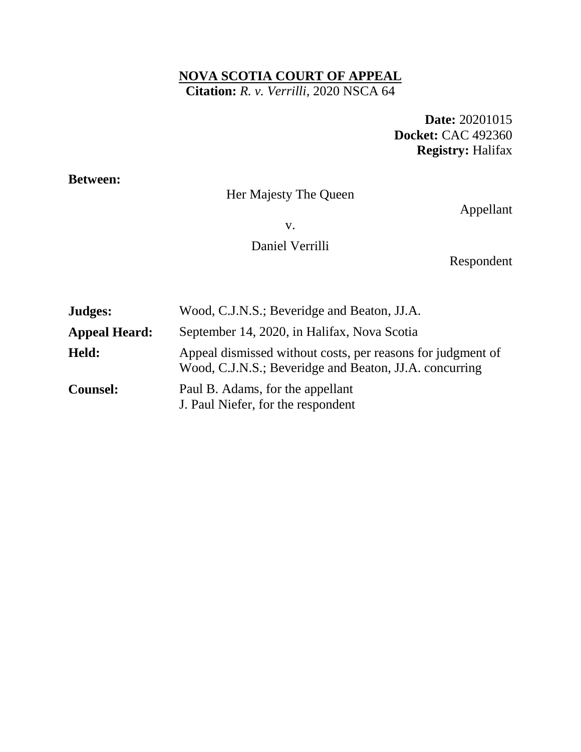### **NOVA SCOTIA COURT OF APPEAL Citation:** *R. v. Verrilli*, 2020 NSCA 64

**Date:** 20201015 **Docket:** CAC 492360 **Registry:** Halifax

### **Between:**

# Her Majesty The Queen

Appellant

v.

## Daniel Verrilli

Respondent

| Judges:              | Wood, C.J.N.S.; Beveridge and Beaton, JJ.A.                                                                           |
|----------------------|-----------------------------------------------------------------------------------------------------------------------|
| <b>Appeal Heard:</b> | September 14, 2020, in Halifax, Nova Scotia                                                                           |
| Held:                | Appeal dismissed without costs, per reasons for judgment of<br>Wood, C.J.N.S.; Beveridge and Beaton, JJ.A. concurring |
| <b>Counsel:</b>      | Paul B. Adams, for the appellant<br>J. Paul Niefer, for the respondent                                                |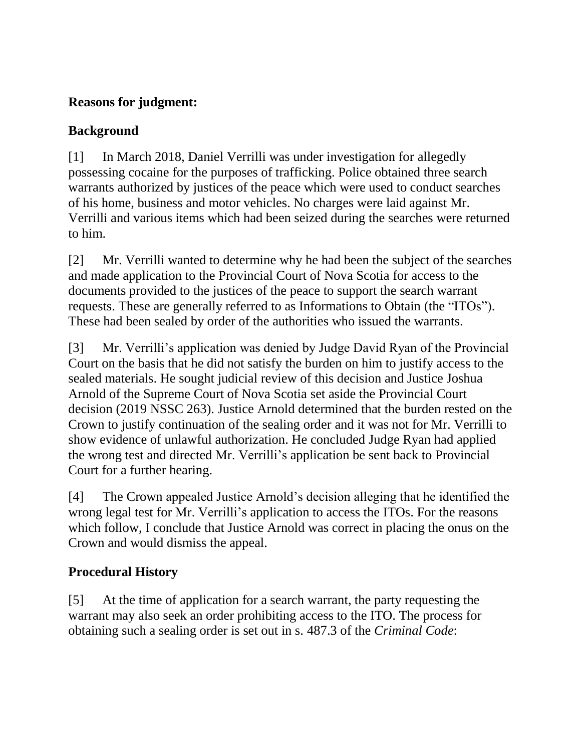# **Reasons for judgment:**

## **Background**

[1] In March 2018, Daniel Verrilli was under investigation for allegedly possessing cocaine for the purposes of trafficking. Police obtained three search warrants authorized by justices of the peace which were used to conduct searches of his home, business and motor vehicles. No charges were laid against Mr. Verrilli and various items which had been seized during the searches were returned to him.

[2] Mr. Verrilli wanted to determine why he had been the subject of the searches and made application to the Provincial Court of Nova Scotia for access to the documents provided to the justices of the peace to support the search warrant requests. These are generally referred to as Informations to Obtain (the "ITOs"). These had been sealed by order of the authorities who issued the warrants.

[3] Mr. Verrilli's application was denied by Judge David Ryan of the Provincial Court on the basis that he did not satisfy the burden on him to justify access to the sealed materials. He sought judicial review of this decision and Justice Joshua Arnold of the Supreme Court of Nova Scotia set aside the Provincial Court decision (2019 NSSC 263). Justice Arnold determined that the burden rested on the Crown to justify continuation of the sealing order and it was not for Mr. Verrilli to show evidence of unlawful authorization. He concluded Judge Ryan had applied the wrong test and directed Mr. Verrilli's application be sent back to Provincial Court for a further hearing.

[4] The Crown appealed Justice Arnold's decision alleging that he identified the wrong legal test for Mr. Verrilli's application to access the ITOs. For the reasons which follow, I conclude that Justice Arnold was correct in placing the onus on the Crown and would dismiss the appeal.

# **Procedural History**

[5] At the time of application for a search warrant, the party requesting the warrant may also seek an order prohibiting access to the ITO. The process for obtaining such a sealing order is set out in s. 487.3 of the *Criminal Code*: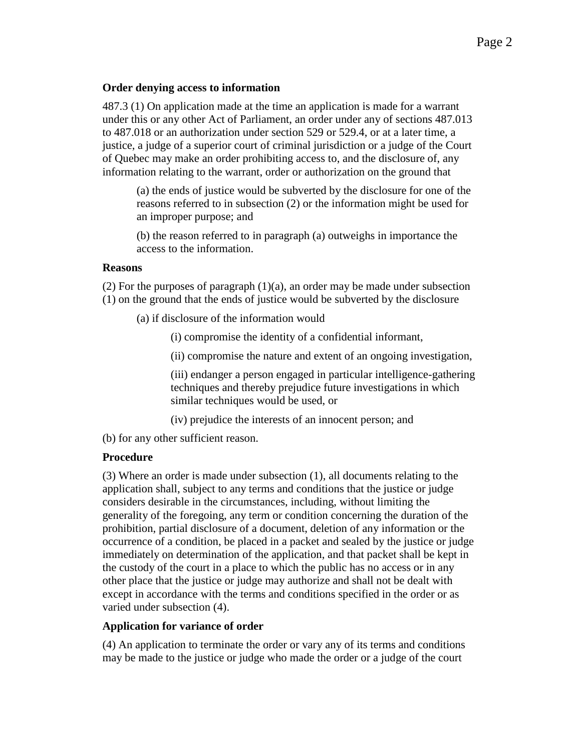#### **Order denying access to information**

487.3 (1) On application made at the time an application is made for a warrant under this or any other Act of Parliament, an order under any of sections 487.013 to 487.018 or an authorization under section 529 or 529.4, or at a later time, a justice, a judge of a superior court of criminal jurisdiction or a judge of the Court of Quebec may make an order prohibiting access to, and the disclosure of, any information relating to the warrant, order or authorization on the ground that

(a) the ends of justice would be subverted by the disclosure for one of the reasons referred to in subsection (2) or the information might be used for an improper purpose; and

(b) the reason referred to in paragraph (a) outweighs in importance the access to the information.

#### **Reasons**

 $(2)$  For the purposes of paragraph  $(1)(a)$ , an order may be made under subsection (1) on the ground that the ends of justice would be subverted by the disclosure

- (a) if disclosure of the information would
	- (i) compromise the identity of a confidential informant,
	- (ii) compromise the nature and extent of an ongoing investigation,

(iii) endanger a person engaged in particular intelligence-gathering techniques and thereby prejudice future investigations in which similar techniques would be used, or

- (iv) prejudice the interests of an innocent person; and
- (b) for any other sufficient reason.

#### **Procedure**

(3) Where an order is made under subsection (1), all documents relating to the application shall, subject to any terms and conditions that the justice or judge considers desirable in the circumstances, including, without limiting the generality of the foregoing, any term or condition concerning the duration of the prohibition, partial disclosure of a document, deletion of any information or the occurrence of a condition, be placed in a packet and sealed by the justice or judge immediately on determination of the application, and that packet shall be kept in the custody of the court in a place to which the public has no access or in any other place that the justice or judge may authorize and shall not be dealt with except in accordance with the terms and conditions specified in the order or as varied under subsection (4).

#### **Application for variance of order**

(4) An application to terminate the order or vary any of its terms and conditions may be made to the justice or judge who made the order or a judge of the court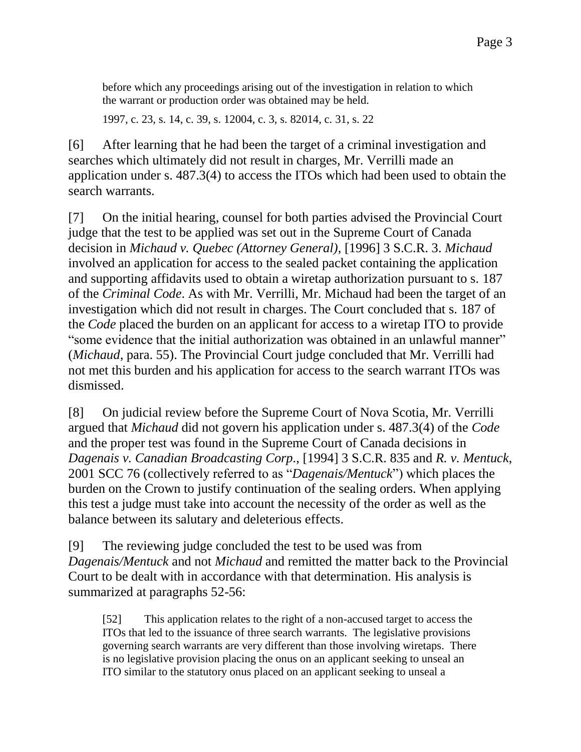before which any proceedings arising out of the investigation in relation to which the warrant or production order was obtained may be held.

1997, c. 23, s. 14, c. 39, s. 12004, c. 3, s. 82014, c. 31, s. 22

[6] After learning that he had been the target of a criminal investigation and searches which ultimately did not result in charges, Mr. Verrilli made an application under s. 487.3(4) to access the ITOs which had been used to obtain the search warrants.

[7] On the initial hearing, counsel for both parties advised the Provincial Court judge that the test to be applied was set out in the Supreme Court of Canada decision in *Michaud v. Quebec (Attorney General)*, [1996] 3 S.C.R. 3. *Michaud* involved an application for access to the sealed packet containing the application and supporting affidavits used to obtain a wiretap authorization pursuant to s. 187 of the *Criminal Code*. As with Mr. Verrilli, Mr. Michaud had been the target of an investigation which did not result in charges. The Court concluded that s. 187 of the *Code* placed the burden on an applicant for access to a wiretap ITO to provide "some evidence that the initial authorization was obtained in an unlawful manner" (*Michaud*, para. 55). The Provincial Court judge concluded that Mr. Verrilli had not met this burden and his application for access to the search warrant ITOs was dismissed.

[8] On judicial review before the Supreme Court of Nova Scotia, Mr. Verrilli argued that *Michaud* did not govern his application under s. 487.3(4) of the *Code* and the proper test was found in the Supreme Court of Canada decisions in *Dagenais v. Canadian Broadcasting Corp.*, [1994] 3 S.C.R. 835 and *R. v. Mentuck*, 2001 SCC 76 (collectively referred to as "*Dagenais/Mentuck*") which places the burden on the Crown to justify continuation of the sealing orders. When applying this test a judge must take into account the necessity of the order as well as the balance between its salutary and deleterious effects.

[9] The reviewing judge concluded the test to be used was from *Dagenais/Mentuck* and not *Michaud* and remitted the matter back to the Provincial Court to be dealt with in accordance with that determination. His analysis is summarized at paragraphs 52-56:

[52] This application relates to the right of a non-accused target to access the ITOs that led to the issuance of three search warrants. The legislative provisions governing search warrants are very different than those involving wiretaps. There is no legislative provision placing the onus on an applicant seeking to unseal an ITO similar to the statutory onus placed on an applicant seeking to unseal a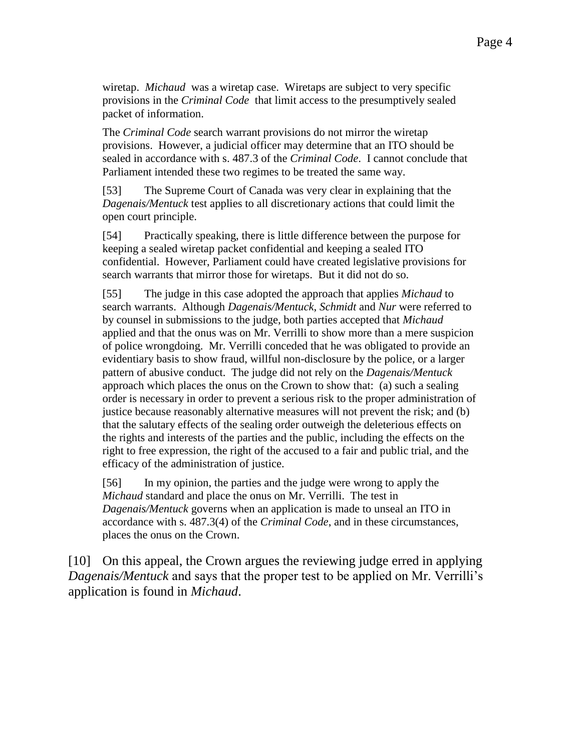wiretap. *Michaud* was a wiretap case. Wiretaps are subject to very specific provisions in the *Criminal Code* that limit access to the presumptively sealed packet of information.

The *Criminal Code* search warrant provisions do not mirror the wiretap provisions. However, a judicial officer may determine that an ITO should be sealed in accordance with s. 487.3 of the *Criminal Code*. I cannot conclude that Parliament intended these two regimes to be treated the same way.

[53] The Supreme Court of Canada was very clear in explaining that the *Dagenais/Mentuck* test applies to all discretionary actions that could limit the open court principle.

[54] Practically speaking, there is little difference between the purpose for keeping a sealed wiretap packet confidential and keeping a sealed ITO confidential. However, Parliament could have created legislative provisions for search warrants that mirror those for wiretaps. But it did not do so.

[55] The judge in this case adopted the approach that applies *Michaud* to search warrants. Although *Dagenais/Mentuck*, *Schmidt* and *Nur* were referred to by counsel in submissions to the judge, both parties accepted that *Michaud*  applied and that the onus was on Mr. Verrilli to show more than a mere suspicion of police wrongdoing. Mr. Verrilli conceded that he was obligated to provide an evidentiary basis to show fraud, willful non-disclosure by the police, or a larger pattern of abusive conduct. The judge did not rely on the *Dagenais/Mentuck* approach which places the onus on the Crown to show that: (a) such a sealing order is necessary in order to prevent a serious risk to the proper administration of justice because reasonably alternative measures will not prevent the risk; and (b) that the salutary effects of the sealing order outweigh the deleterious effects on the rights and interests of the parties and the public, including the effects on the right to free expression, the right of the accused to a fair and public trial, and the efficacy of the administration of justice.

[56] In my opinion, the parties and the judge were wrong to apply the *Michaud* standard and place the onus on Mr. Verrilli. The test in *Dagenais/Mentuck* governs when an application is made to unseal an ITO in accordance with s. 487.3(4) of the *Criminal Code*, and in these circumstances, places the onus on the Crown.

[10] On this appeal, the Crown argues the reviewing judge erred in applying *Dagenais/Mentuck* and says that the proper test to be applied on Mr. Verrilli's application is found in *Michaud*.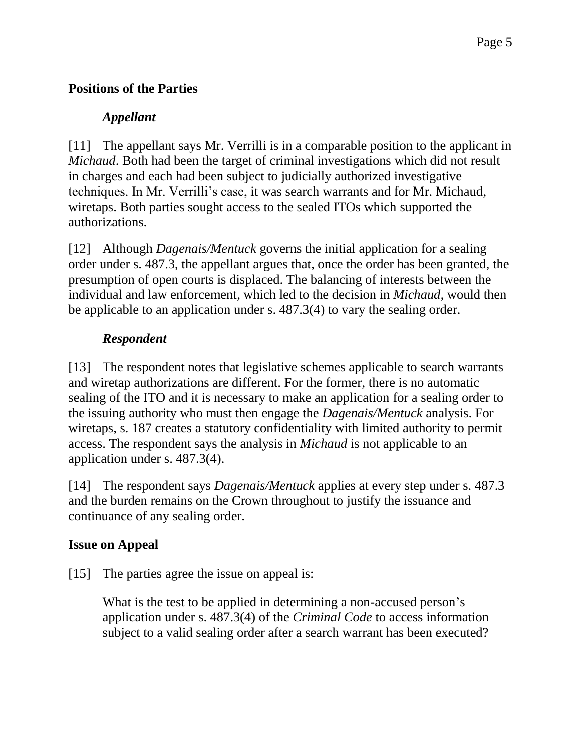## **Positions of the Parties**

## *Appellant*

[11] The appellant says Mr. Verrilli is in a comparable position to the applicant in *Michaud*. Both had been the target of criminal investigations which did not result in charges and each had been subject to judicially authorized investigative techniques. In Mr. Verrilli's case, it was search warrants and for Mr. Michaud, wiretaps. Both parties sought access to the sealed ITOs which supported the authorizations.

[12] Although *Dagenais/Mentuck* governs the initial application for a sealing order under s. 487.3, the appellant argues that, once the order has been granted, the presumption of open courts is displaced. The balancing of interests between the individual and law enforcement, which led to the decision in *Michaud,* would then be applicable to an application under s. 487.3(4) to vary the sealing order.

# *Respondent*

[13] The respondent notes that legislative schemes applicable to search warrants and wiretap authorizations are different. For the former, there is no automatic sealing of the ITO and it is necessary to make an application for a sealing order to the issuing authority who must then engage the *Dagenais/Mentuck* analysis. For wiretaps, s. 187 creates a statutory confidentiality with limited authority to permit access. The respondent says the analysis in *Michaud* is not applicable to an application under s. 487.3(4).

[14] The respondent says *Dagenais/Mentuck* applies at every step under s. 487.3 and the burden remains on the Crown throughout to justify the issuance and continuance of any sealing order.

# **Issue on Appeal**

[15] The parties agree the issue on appeal is:

What is the test to be applied in determining a non-accused person's application under s. 487.3(4) of the *Criminal Code* to access information subject to a valid sealing order after a search warrant has been executed?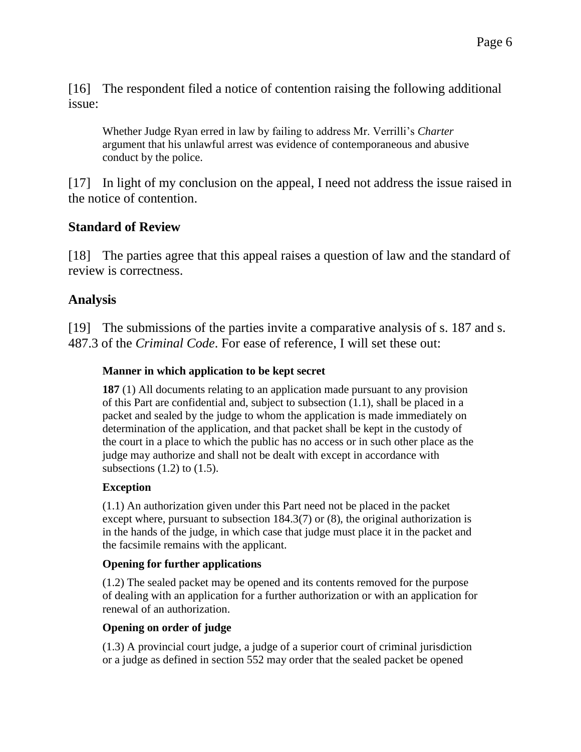[16] The respondent filed a notice of contention raising the following additional issue:

Whether Judge Ryan erred in law by failing to address Mr. Verrilli's *Charter*  argument that his unlawful arrest was evidence of contemporaneous and abusive conduct by the police.

[17] In light of my conclusion on the appeal, I need not address the issue raised in the notice of contention.

### **Standard of Review**

[18] The parties agree that this appeal raises a question of law and the standard of review is correctness.

### **Analysis**

[19] The submissions of the parties invite a comparative analysis of s. 187 and s. 487.3 of the *Criminal Code*. For ease of reference, I will set these out:

### **Manner in which application to be kept secret**

**187** (1) All documents relating to an application made pursuant to any provision of this Part are confidential and, subject to subsection (1.1), shall be placed in a packet and sealed by the judge to whom the application is made immediately on determination of the application, and that packet shall be kept in the custody of the court in a place to which the public has no access or in such other place as the judge may authorize and shall not be dealt with except in accordance with subsections  $(1.2)$  to  $(1.5)$ .

### **Exception**

(1.1) An authorization given under this Part need not be placed in the packet except where, pursuant to subsection 184.3(7) or (8), the original authorization is in the hands of the judge, in which case that judge must place it in the packet and the facsimile remains with the applicant.

### **Opening for further applications**

(1.2) The sealed packet may be opened and its contents removed for the purpose of dealing with an application for a further authorization or with an application for renewal of an authorization.

### **Opening on order of judge**

(1.3) A provincial court judge, a judge of a superior court of criminal jurisdiction or a judge as defined in section 552 may order that the sealed packet be opened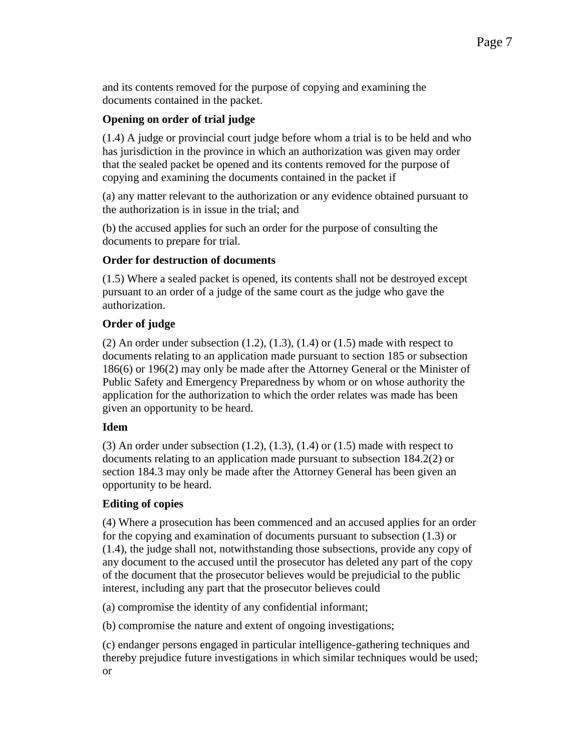and its contents removed for the purpose of copying and examining the documents contained in the packet.

#### **Opening on order of trial judge**

(1.4) A judge or provincial court judge before whom a trial is to be held and who has jurisdiction in the province in which an authorization was given may order that the sealed packet be opened and its contents removed for the purpose of copying and examining the documents contained in the packet if

(a) any matter relevant to the authorization or any evidence obtained pursuant to the authorization is in issue in the trial; and

(b) the accused applies for such an order for the purpose of consulting the documents to prepare for trial.

#### **Order for destruction of documents**

(1.5) Where a sealed packet is opened, its contents shall not be destroyed except pursuant to an order of a judge of the same court as the judge who gave the authorization.

#### **Order of judge**

(2) An order under subsection  $(1.2)$ ,  $(1.3)$ ,  $(1.4)$  or  $(1.5)$  made with respect to documents relating to an application made pursuant to section 185 or subsection 186(6) or 196(2) may only be made after the Attorney General or the Minister of Public Safety and Emergency Preparedness by whom or on whose authority the application for the authorization to which the order relates was made has been given an opportunity to be heard.

#### **Idem**

(3) An order under subsection  $(1.2)$ ,  $(1.3)$ ,  $(1.4)$  or  $(1.5)$  made with respect to documents relating to an application made pursuant to subsection 184.2(2) or section 184.3 may only be made after the Attorney General has been given an opportunity to be heard.

#### **Editing of copies**

(4) Where a prosecution has been commenced and an accused applies for an order for the copying and examination of documents pursuant to subsection (1.3) or (1.4), the judge shall not, notwithstanding those subsections, provide any copy of any document to the accused until the prosecutor has deleted any part of the copy of the document that the prosecutor believes would be prejudicial to the public interest, including any part that the prosecutor believes could

(a) compromise the identity of any confidential informant;

(b) compromise the nature and extent of ongoing investigations;

(c) endanger persons engaged in particular intelligence-gathering techniques and thereby prejudice future investigations in which similar techniques would be used; or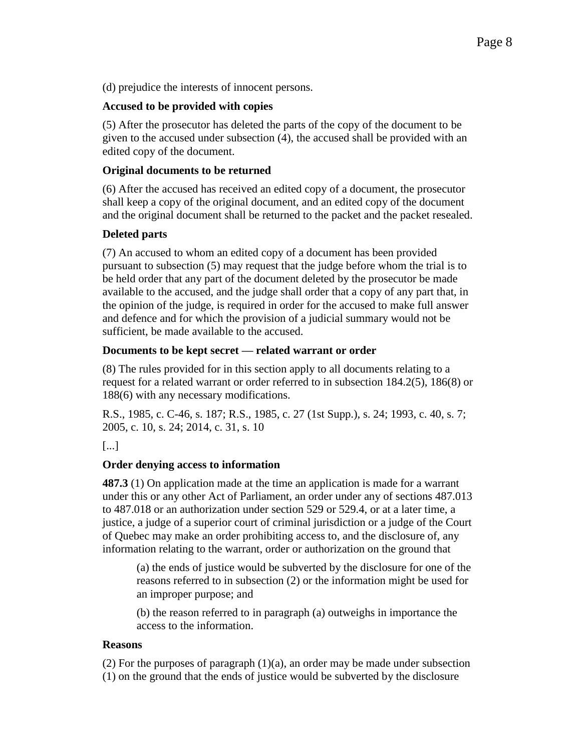(d) prejudice the interests of innocent persons.

#### **Accused to be provided with copies**

(5) After the prosecutor has deleted the parts of the copy of the document to be given to the accused under subsection (4), the accused shall be provided with an edited copy of the document.

#### **Original documents to be returned**

(6) After the accused has received an edited copy of a document, the prosecutor shall keep a copy of the original document, and an edited copy of the document and the original document shall be returned to the packet and the packet resealed.

#### **Deleted parts**

(7) An accused to whom an edited copy of a document has been provided pursuant to subsection (5) may request that the judge before whom the trial is to be held order that any part of the document deleted by the prosecutor be made available to the accused, and the judge shall order that a copy of any part that, in the opinion of the judge, is required in order for the accused to make full answer and defence and for which the provision of a judicial summary would not be sufficient, be made available to the accused.

#### **Documents to be kept secret — related warrant or order**

(8) The rules provided for in this section apply to all documents relating to a request for a related warrant or order referred to in subsection 184.2(5), 186(8) or 188(6) with any necessary modifications.

R.S., 1985, c. C-46, s. 187; R.S., 1985, c. 27 (1st Supp.), s. 24; 1993, c. 40, s. 7; 2005, c. 10, s. 24; 2014, c. 31, s. 10

[...]

### **Order denying access to information**

**487.3** (1) On application made at the time an application is made for a warrant under this or any other Act of Parliament, an order under any of sections 487.013 to 487.018 or an authorization under section 529 or 529.4, or at a later time, a justice, a judge of a superior court of criminal jurisdiction or a judge of the Court of Quebec may make an order prohibiting access to, and the disclosure of, any information relating to the warrant, order or authorization on the ground that

(a) the ends of justice would be subverted by the disclosure for one of the reasons referred to in subsection (2) or the information might be used for an improper purpose; and

(b) the reason referred to in paragraph (a) outweighs in importance the access to the information.

#### **Reasons**

 $(2)$  For the purposes of paragraph  $(1)(a)$ , an order may be made under subsection (1) on the ground that the ends of justice would be subverted by the disclosure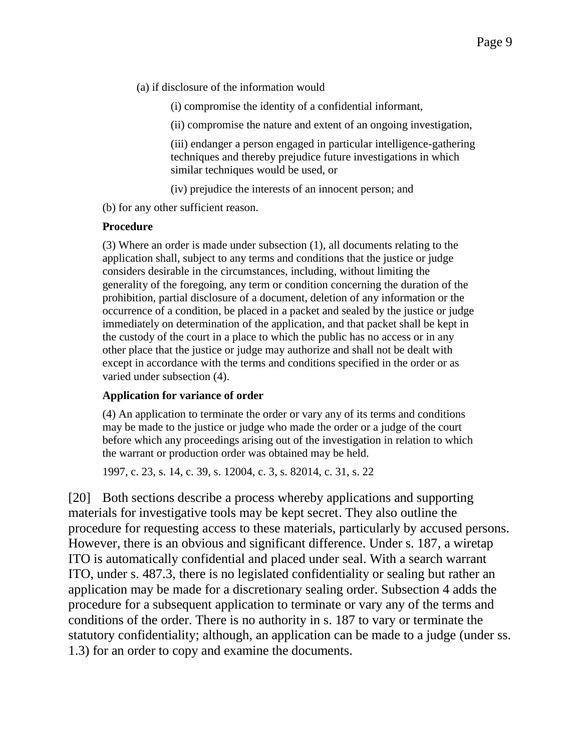(a) if disclosure of the information would

(i) compromise the identity of a confidential informant,

(ii) compromise the nature and extent of an ongoing investigation,

(iii) endanger a person engaged in particular intelligence-gathering techniques and thereby prejudice future investigations in which similar techniques would be used, or

(iv) prejudice the interests of an innocent person; and

(b) for any other sufficient reason.

#### **Procedure**

(3) Where an order is made under subsection (1), all documents relating to the application shall, subject to any terms and conditions that the justice or judge considers desirable in the circumstances, including, without limiting the generality of the foregoing, any term or condition concerning the duration of the prohibition, partial disclosure of a document, deletion of any information or the occurrence of a condition, be placed in a packet and sealed by the justice or judge immediately on determination of the application, and that packet shall be kept in the custody of the court in a place to which the public has no access or in any other place that the justice or judge may authorize and shall not be dealt with except in accordance with the terms and conditions specified in the order or as varied under subsection (4).

#### **Application for variance of order**

(4) An application to terminate the order or vary any of its terms and conditions may be made to the justice or judge who made the order or a judge of the court before which any proceedings arising out of the investigation in relation to which the warrant or production order was obtained may be held.

1997, c. 23, s. 14, c. 39, s. 12004, c. 3, s. 82014, c. 31, s. 22

[20] Both sections describe a process whereby applications and supporting materials for investigative tools may be kept secret. They also outline the procedure for requesting access to these materials, particularly by accused persons. However, there is an obvious and significant difference. Under s. 187, a wiretap ITO is automatically confidential and placed under seal. With a search warrant ITO, under s. 487.3, there is no legislated confidentiality or sealing but rather an application may be made for a discretionary sealing order. Subsection 4 adds the procedure for a subsequent application to terminate or vary any of the terms and conditions of the order. There is no authority in s. 187 to vary or terminate the statutory confidentiality; although, an application can be made to a judge (under ss. 1.3) for an order to copy and examine the documents.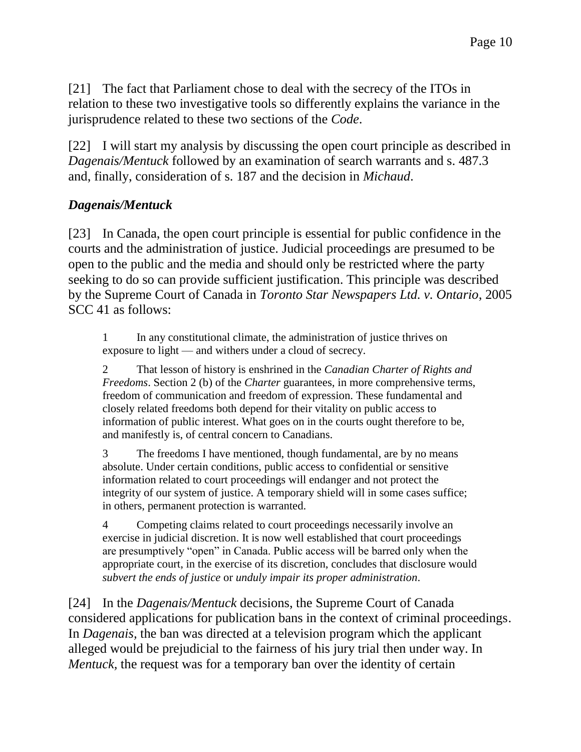[21] The fact that Parliament chose to deal with the secrecy of the ITOs in relation to these two investigative tools so differently explains the variance in the jurisprudence related to these two sections of the *Code*.

[22] I will start my analysis by discussing the open court principle as described in *Dagenais/Mentuck* followed by an examination of search warrants and s. 487.3 and, finally, consideration of s. 187 and the decision in *Michaud*.

## *Dagenais/Mentuck*

[23] In Canada, the open court principle is essential for public confidence in the courts and the administration of justice. Judicial proceedings are presumed to be open to the public and the media and should only be restricted where the party seeking to do so can provide sufficient justification. This principle was described by the Supreme Court of Canada in *Toronto Star Newspapers Ltd. v. Ontario*, 2005 SCC 41 as follows:

1 In any constitutional climate, the administration of justice thrives on exposure to light — and withers under a cloud of secrecy.

2 That lesson of history is enshrined in the *Canadian Charter of Rights and Freedoms*. Section 2 (b) of the *Charter* guarantees, in more comprehensive terms, freedom of communication and freedom of expression. These fundamental and closely related freedoms both depend for their vitality on public access to information of public interest. What goes on in the courts ought therefore to be, and manifestly is, of central concern to Canadians.

3 The freedoms I have mentioned, though fundamental, are by no means absolute. Under certain conditions, public access to confidential or sensitive information related to court proceedings will endanger and not protect the integrity of our system of justice. A temporary shield will in some cases suffice; in others, permanent protection is warranted.

4 Competing claims related to court proceedings necessarily involve an exercise in judicial discretion. It is now well established that court proceedings are presumptively "open" in Canada. Public access will be barred only when the appropriate court, in the exercise of its discretion, concludes that disclosure would *subvert the ends of justice* or *unduly impair its proper administration*.

[24] In the *Dagenais/Mentuck* decisions, the Supreme Court of Canada considered applications for publication bans in the context of criminal proceedings. In *Dagenais,* the ban was directed at a television program which the applicant alleged would be prejudicial to the fairness of his jury trial then under way. In *Mentuck,* the request was for a temporary ban over the identity of certain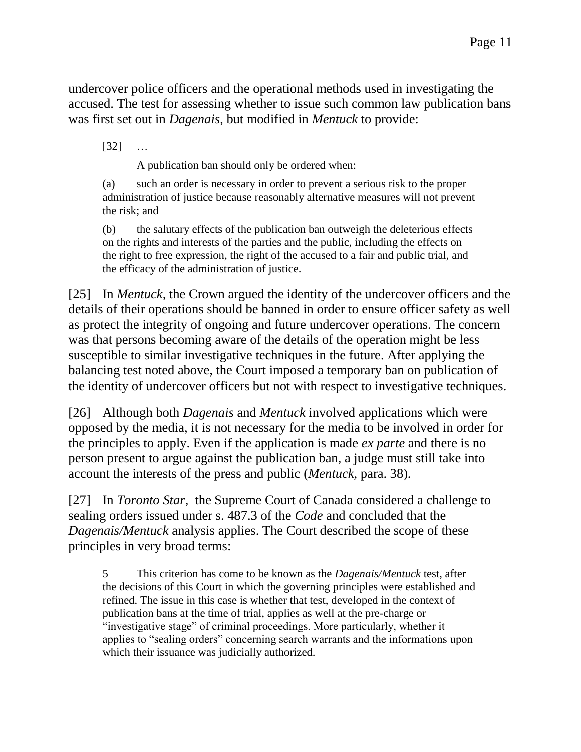undercover police officers and the operational methods used in investigating the accused. The test for assessing whether to issue such common law publication bans was first set out in *Dagenais*, but modified in *Mentuck* to provide:

[32] …

A publication ban should only be ordered when:

(a) such an order is necessary in order to prevent a serious risk to the proper administration of justice because reasonably alternative measures will not prevent the risk; and

(b) the salutary effects of the publication ban outweigh the deleterious effects on the rights and interests of the parties and the public, including the effects on the right to free expression, the right of the accused to a fair and public trial, and the efficacy of the administration of justice.

[25] In *Mentuck,* the Crown argued the identity of the undercover officers and the details of their operations should be banned in order to ensure officer safety as well as protect the integrity of ongoing and future undercover operations. The concern was that persons becoming aware of the details of the operation might be less susceptible to similar investigative techniques in the future. After applying the balancing test noted above, the Court imposed a temporary ban on publication of the identity of undercover officers but not with respect to investigative techniques.

[26] Although both *Dagenais* and *Mentuck* involved applications which were opposed by the media, it is not necessary for the media to be involved in order for the principles to apply. Even if the application is made *ex parte* and there is no person present to argue against the publication ban, a judge must still take into account the interests of the press and public (*Mentuck,* para. 38).

[27] In *Toronto Star*, the Supreme Court of Canada considered a challenge to sealing orders issued under s. 487.3 of the *Code* and concluded that the *Dagenais/Mentuck* analysis applies. The Court described the scope of these principles in very broad terms:

5 This criterion has come to be known as the *Dagenais/Mentuck* test, after the decisions of this Court in which the governing principles were established and refined. The issue in this case is whether that test, developed in the context of publication bans at the time of trial, applies as well at the pre-charge or "investigative stage" of criminal proceedings. More particularly, whether it applies to "sealing orders" concerning search warrants and the informations upon which their issuance was judicially authorized.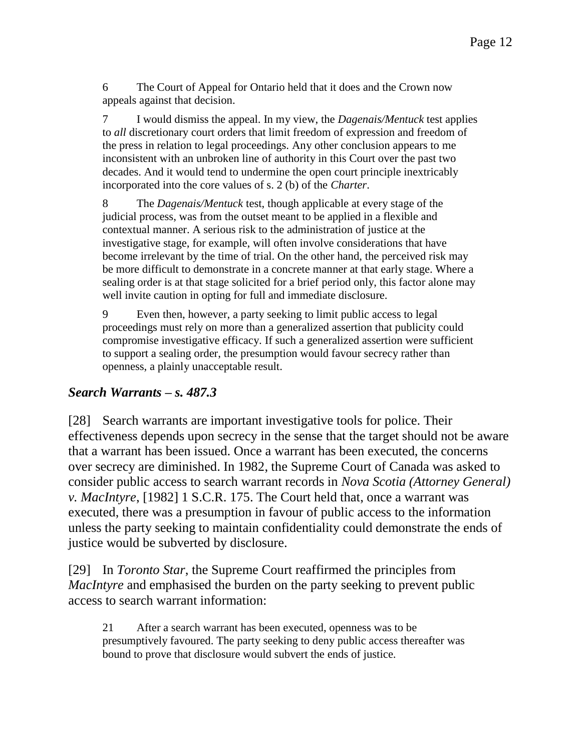6 The Court of Appeal for Ontario held that it does and the Crown now appeals against that decision.

7 I would dismiss the appeal. In my view, the *Dagenais/Mentuck* test applies to *all* discretionary court orders that limit freedom of expression and freedom of the press in relation to legal proceedings. Any other conclusion appears to me inconsistent with an unbroken line of authority in this Court over the past two decades. And it would tend to undermine the open court principle inextricably incorporated into the core values of s. 2 (b) of the *Charter*.

8 The *Dagenais/Mentuck* test, though applicable at every stage of the judicial process, was from the outset meant to be applied in a flexible and contextual manner. A serious risk to the administration of justice at the investigative stage, for example, will often involve considerations that have become irrelevant by the time of trial. On the other hand, the perceived risk may be more difficult to demonstrate in a concrete manner at that early stage. Where a sealing order is at that stage solicited for a brief period only, this factor alone may well invite caution in opting for full and immediate disclosure.

9 Even then, however, a party seeking to limit public access to legal proceedings must rely on more than a generalized assertion that publicity could compromise investigative efficacy. If such a generalized assertion were sufficient to support a sealing order, the presumption would favour secrecy rather than openness, a plainly unacceptable result.

## *Search Warrants – s. 487.3*

[28] Search warrants are important investigative tools for police. Their effectiveness depends upon secrecy in the sense that the target should not be aware that a warrant has been issued. Once a warrant has been executed, the concerns over secrecy are diminished. In 1982, the Supreme Court of Canada was asked to consider public access to search warrant records in *Nova Scotia (Attorney General) v. MacIntyre*, [1982] 1 S.C.R. 175. The Court held that, once a warrant was executed, there was a presumption in favour of public access to the information unless the party seeking to maintain confidentiality could demonstrate the ends of justice would be subverted by disclosure.

[29] In *Toronto Star*, the Supreme Court reaffirmed the principles from *MacIntyre* and emphasised the burden on the party seeking to prevent public access to search warrant information:

21 After a search warrant has been executed, openness was to be presumptively favoured. The party seeking to deny public access thereafter was bound to prove that disclosure would subvert the ends of justice.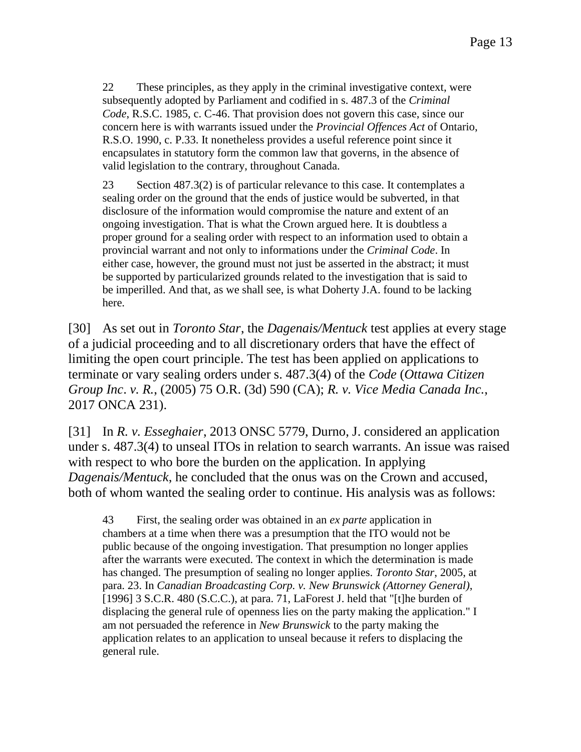22 These principles, as they apply in the criminal investigative context, were subsequently adopted by Parliament and codified in s. 487.3 of the *Criminal Code*, R.S.C. 1985, c. C-46. That provision does not govern this case, since our concern here is with warrants issued under the *Provincial Offences Act* of Ontario, R.S.O. 1990, c. P.33. It nonetheless provides a useful reference point since it encapsulates in statutory form the common law that governs, in the absence of valid legislation to the contrary, throughout Canada.

23 Section 487.3(2) is of particular relevance to this case. It contemplates a sealing order on the ground that the ends of justice would be subverted, in that disclosure of the information would compromise the nature and extent of an ongoing investigation. That is what the Crown argued here. It is doubtless a proper ground for a sealing order with respect to an information used to obtain a provincial warrant and not only to informations under the *Criminal Code*. In either case, however, the ground must not just be asserted in the abstract; it must be supported by particularized grounds related to the investigation that is said to be imperilled. And that, as we shall see, is what Doherty J.A. found to be lacking here.

[30] As set out in *Toronto Star*, the *Dagenais/Mentuck* test applies at every stage of a judicial proceeding and to all discretionary orders that have the effect of limiting the open court principle. The test has been applied on applications to terminate or vary sealing orders under s. 487.3(4) of the *Code* (*Ottawa Citizen Group Inc*. *v. R.*, (2005) 75 O.R. (3d) 590 (CA); *R. v. Vice Media Canada Inc.*, 2017 ONCA 231).

[31] In *R. v. Esseghaier*, 2013 ONSC 5779, Durno, J. considered an application under s. 487.3(4) to unseal ITOs in relation to search warrants. An issue was raised with respect to who bore the burden on the application. In applying *Dagenais/Mentuck*, he concluded that the onus was on the Crown and accused, both of whom wanted the sealing order to continue. His analysis was as follows:

43 First, the sealing order was obtained in an *ex parte* application in chambers at a time when there was a presumption that the ITO would not be public because of the ongoing investigation. That presumption no longer applies after the warrants were executed. The context in which the determination is made has changed. The presumption of sealing no longer applies. *Toronto Star*, 2005, at para. 23. In *Canadian Broadcasting Corp. v. New Brunswick (Attorney General)*, [1996]  $3 S.C.R. 480 (S.C.C.),$  at para. 71, LaForest J. held that "[t]he burden of displacing the general rule of openness lies on the party making the application." I am not persuaded the reference in *New Brunswick* to the party making the application relates to an application to unseal because it refers to displacing the general rule.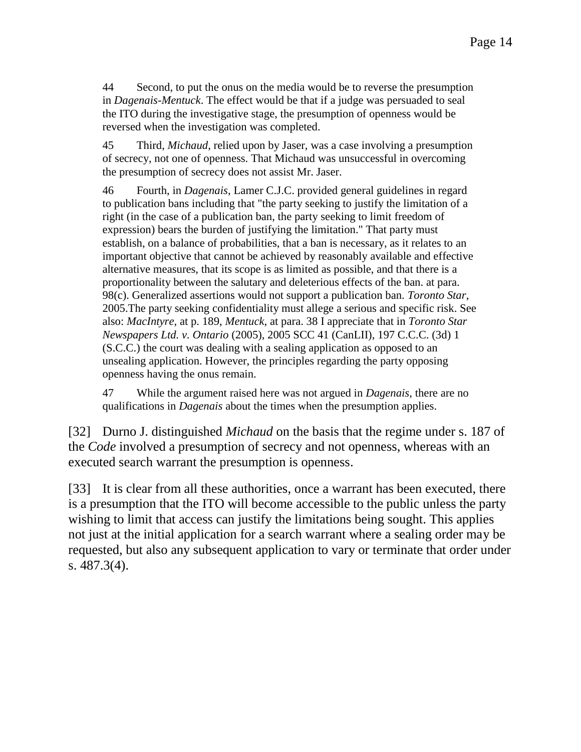44 Second, to put the onus on the media would be to reverse the presumption in *Dagenais-Mentuck*. The effect would be that if a judge was persuaded to seal the ITO during the investigative stage, the presumption of openness would be reversed when the investigation was completed.

45 Third, *Michaud*, relied upon by Jaser, was a case involving a presumption of secrecy, not one of openness. That Michaud was unsuccessful in overcoming the presumption of secrecy does not assist Mr. Jaser.

46 Fourth, in *Dagenais*, Lamer C.J.C. provided general guidelines in regard to publication bans including that "the party seeking to justify the limitation of a right (in the case of a publication ban, the party seeking to limit freedom of expression) bears the burden of justifying the limitation." That party must establish, on a balance of probabilities, that a ban is necessary, as it relates to an important objective that cannot be achieved by reasonably available and effective alternative measures, that its scope is as limited as possible, and that there is a proportionality between the salutary and deleterious effects of the ban. at para. 98(c). Generalized assertions would not support a publication ban. *Toronto Star*, 2005.The party seeking confidentiality must allege a serious and specific risk. See also: *MacIntyre*, at p. 189, *Mentuck*, at para. 38 I appreciate that in *Toronto Star Newspapers Ltd. v. Ontario* (2005), 2005 SCC 41 (CanLII), 197 C.C.C. (3d) 1 (S.C.C.) the court was dealing with a sealing application as opposed to an unsealing application. However, the principles regarding the party opposing openness having the onus remain.

47 While the argument raised here was not argued in *Dagenais*, there are no qualifications in *Dagenais* about the times when the presumption applies.

[32] Durno J. distinguished *Michaud* on the basis that the regime under s. 187 of the *Code* involved a presumption of secrecy and not openness, whereas with an executed search warrant the presumption is openness.

[33] It is clear from all these authorities, once a warrant has been executed, there is a presumption that the ITO will become accessible to the public unless the party wishing to limit that access can justify the limitations being sought. This applies not just at the initial application for a search warrant where a sealing order may be requested, but also any subsequent application to vary or terminate that order under s. 487.3(4).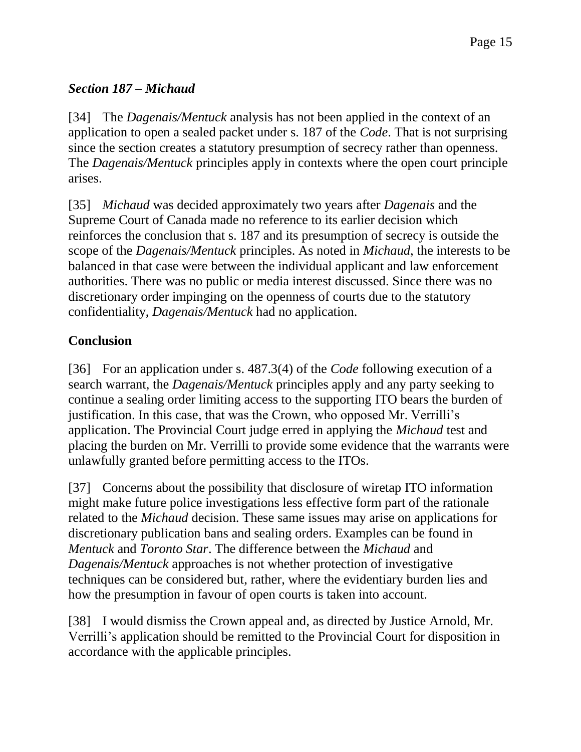# *Section 187 – Michaud*

[34] The *Dagenais/Mentuck* analysis has not been applied in the context of an application to open a sealed packet under s. 187 of the *Code*. That is not surprising since the section creates a statutory presumption of secrecy rather than openness. The *Dagenais/Mentuck* principles apply in contexts where the open court principle arises.

[35] *Michaud* was decided approximately two years after *Dagenais* and the Supreme Court of Canada made no reference to its earlier decision which reinforces the conclusion that s. 187 and its presumption of secrecy is outside the scope of the *Dagenais/Mentuck* principles. As noted in *Michaud*, the interests to be balanced in that case were between the individual applicant and law enforcement authorities. There was no public or media interest discussed. Since there was no discretionary order impinging on the openness of courts due to the statutory confidentiality, *Dagenais/Mentuck* had no application.

# **Conclusion**

[36] For an application under s. 487.3(4) of the *Code* following execution of a search warrant, the *Dagenais/Mentuck* principles apply and any party seeking to continue a sealing order limiting access to the supporting ITO bears the burden of justification. In this case, that was the Crown, who opposed Mr. Verrilli's application. The Provincial Court judge erred in applying the *Michaud* test and placing the burden on Mr. Verrilli to provide some evidence that the warrants were unlawfully granted before permitting access to the ITOs.

[37] Concerns about the possibility that disclosure of wiretap ITO information might make future police investigations less effective form part of the rationale related to the *Michaud* decision. These same issues may arise on applications for discretionary publication bans and sealing orders. Examples can be found in *Mentuck* and *Toronto Star*. The difference between the *Michaud* and *Dagenais/Mentuck* approaches is not whether protection of investigative techniques can be considered but, rather, where the evidentiary burden lies and how the presumption in favour of open courts is taken into account.

[38] I would dismiss the Crown appeal and, as directed by Justice Arnold, Mr. Verrilli's application should be remitted to the Provincial Court for disposition in accordance with the applicable principles.